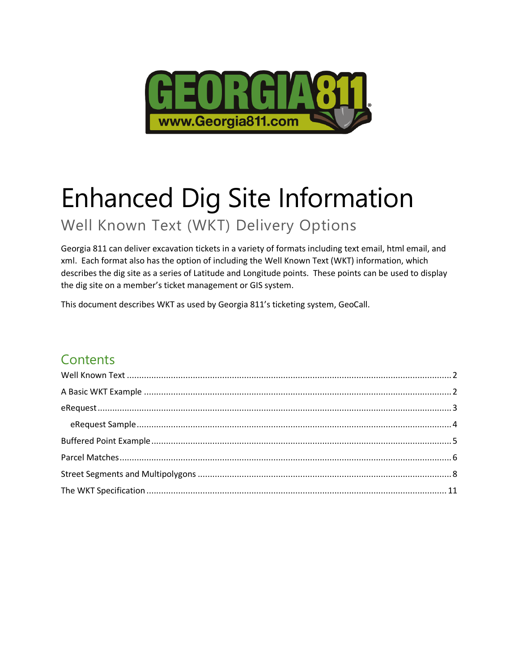

# Enhanced Dig Site Information

Well Known Text (WKT) Delivery Options

Georgia 811 can deliver excavation tickets in a variety of formats including text email, html email, and xml. Each format also has the option of including the Well Known Text (WKT) information, which describes the dig site as a series of Latitude and Longitude points. These points can be used to display the dig site on a member's ticket management or GIS system.

This document describes WKT as used by Georgia 811's ticketing system, GeoCall.

### **Contents**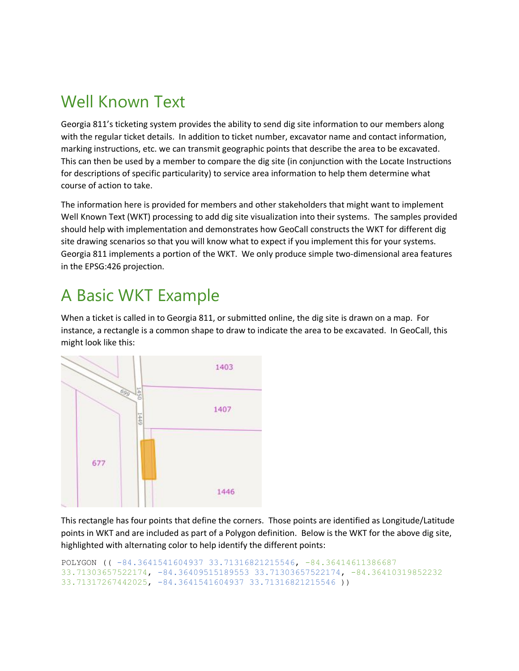### <span id="page-1-0"></span>Well Known Text

Georgia 811's ticketing system provides the ability to send dig site information to our members along with the regular ticket details. In addition to ticket number, excavator name and contact information, marking instructions, etc. we can transmit geographic points that describe the area to be excavated. This can then be used by a member to compare the dig site (in conjunction with the Locate Instructions for descriptions of specific particularity) to service area information to help them determine what course of action to take.

The information here is provided for members and other stakeholders that might want to implement Well Known Text (WKT) processing to add dig site visualization into their systems. The samples provided should help with implementation and demonstrates how GeoCall constructs the WKT for different dig site drawing scenarios so that you will know what to expect if you implement this for your systems. Georgia 811 implements a portion of the WKT. We only produce simple two-dimensional area features in the EPSG:426 projection.

### <span id="page-1-1"></span>A Basic WKT Example

When a ticket is called in to Georgia 811, or submitted online, the dig site is drawn on a map. For instance, a rectangle is a common shape to draw to indicate the area to be excavated. In GeoCall, this might look like this:



This rectangle has four points that define the corners. Those points are identified as Longitude/Latitude points in WKT and are included as part of a Polygon definition. Below is the WKT for the above dig site, highlighted with alternating color to help identify the different points:

```
POLYGON (( -84.3641541604937 33.71316821215546, -84.36414611386687 
33.71303657522174, -84.36409515189553 33.71303657522174, -84.36410319852232 
33.71317267442025, -84.3641541604937 33.71316821215546 ))
```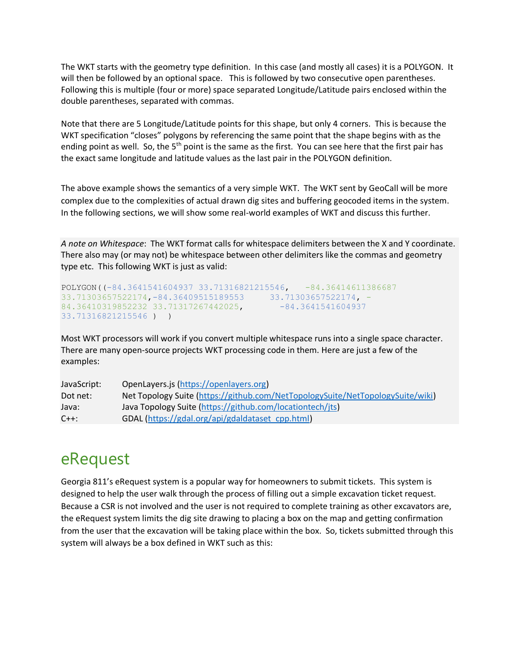The WKT starts with the geometry type definition. In this case (and mostly all cases) it is a POLYGON. It will then be followed by an optional space. This is followed by two consecutive open parentheses. Following this is multiple (four or more) space separated Longitude/Latitude pairs enclosed within the double parentheses, separated with commas.

Note that there are 5 Longitude/Latitude points for this shape, but only 4 corners. This is because the WKT specification "closes" polygons by referencing the same point that the shape begins with as the ending point as well. So, the  $5<sup>th</sup>$  point is the same as the first. You can see here that the first pair has the exact same longitude and latitude values as the last pair in the POLYGON definition.

The above example shows the semantics of a very simple WKT. The WKT sent by GeoCall will be more complex due to the complexities of actual drawn dig sites and buffering geocoded items in the system. In the following sections, we will show some real-world examples of WKT and discuss this further.

*A note on Whitespace*: The WKT format calls for whitespace delimiters between the X and Y coordinate. There also may (or may not) be whitespace between other delimiters like the commas and geometry type etc. This following WKT is just as valid:

```
POLYGON((-84.3641541604937 33.71316821215546, -84.36414611386687 
33.71303657522174,-84.36409515189553 33.71303657522174, -
84.36410319852232 33.71317267442025, -84.3641541604937
33.71316821215546 ) )
```
Most WKT processors will work if you convert multiple whitespace runs into a single space character. There are many open-source projects WKT processing code in them. Here are just a few of the examples:

| JavaScript: | OpenLayers.js (https://openlayers.org)                                         |
|-------------|--------------------------------------------------------------------------------|
| Dot net:    | Net Topology Suite (https://github.com/NetTopologySuite/NetTopologySuite/wiki) |
| Java:       | Java Topology Suite (https://github.com/locationtech/jts)                      |
| $C++$ :     | GDAL (https://gdal.org/api/gdaldataset cpp.html)                               |

### <span id="page-2-0"></span>eRequest

Georgia 811's eRequest system is a popular way for homeowners to submit tickets. This system is designed to help the user walk through the process of filling out a simple excavation ticket request. Because a CSR is not involved and the user is not required to complete training as other excavators are, the eRequest system limits the dig site drawing to placing a box on the map and getting confirmation from the user that the excavation will be taking place within the box. So, tickets submitted through this system will always be a box defined in WKT such as this: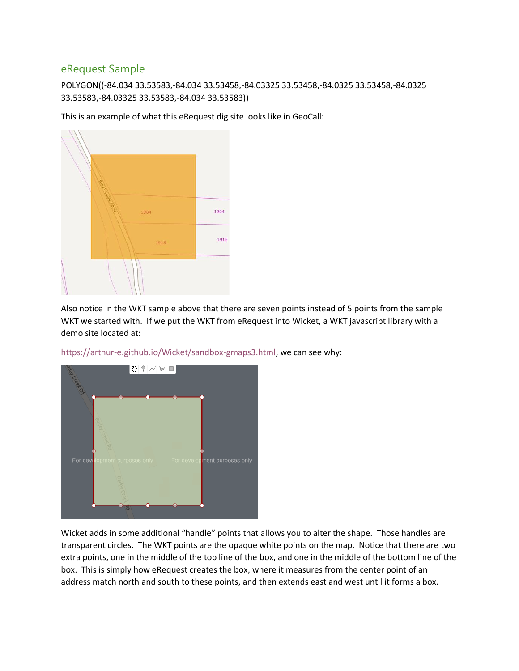#### <span id="page-3-0"></span>eRequest Sample

POLYGON((-84.034 33.53583,-84.034 33.53458,-84.03325 33.53458,-84.0325 33.53458,-84.0325 33.53583,-84.03325 33.53583,-84.034 33.53583))

This is an example of what this eRequest dig site looks like in GeoCall:



Also notice in the WKT sample above that there are seven points instead of 5 points from the sample WKT we started with. If we put the WKT from eRequest into Wicket, a WKT javascript library with a demo site located at:



[https://arthur-e.github.io/Wicket/sandbox-gmaps3.html,](https://arthur-e.github.io/Wicket/sandbox-gmaps3.html) we can see why:

Wicket adds in some additional "handle" points that allows you to alter the shape. Those handles are transparent circles. The WKT points are the opaque white points on the map. Notice that there are two extra points, one in the middle of the top line of the box, and one in the middle of the bottom line of the box. This is simply how eRequest creates the box, where it measures from the center point of an address match north and south to these points, and then extends east and west until it forms a box.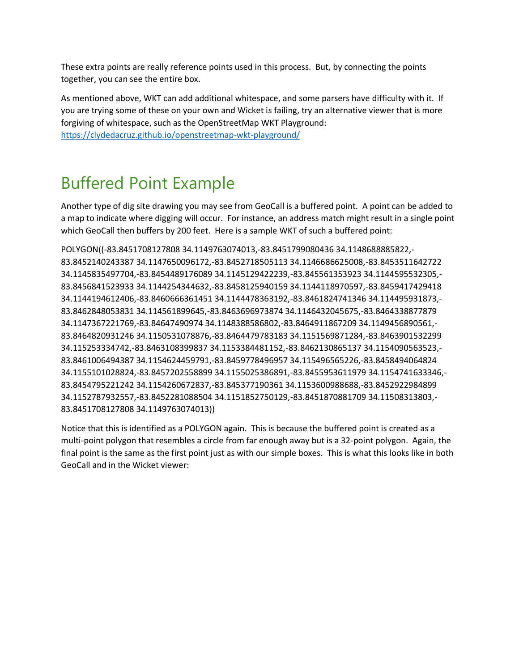These extra points are really reference points used in this process. But, by connecting the points together, you can see the entire box.

As mentioned above, WKT can add additional whitespace, and some parsers have difficulty with it. If you are trying some of these on your own and Wicket is failing, try an alternative viewer that is more forgiving of whitespace, such as the OpenStreetMap WKT Playground:

<https://clydedacruz.github.io/openstreetmap-wkt-playground/>

### <span id="page-4-0"></span>Buffered Point Example

Another type of dig site drawing you may see from GeoCall is a buffered point. A point can be added to a map to indicate where digging will occur. For instance, an address match might result in a single point which GeoCall then buffers by 200 feet. Here is a sample WKT of such a buffered point:

POLYGON((-83.8451708127808 34.1149763074013,-83.8451799080436 34.1148688885822,- 83.8452140243387 34.1147650096172,-83.8452718505113 34.1146686625008,-83.8453511642722 34.1145835497704,-83.8454489176089 34.1145129422239,-83.845561353923 34.1144595532305,- 83.8456841523933 34.1144254344632,-83.8458125940159 34.1144118970597,-83.8459417429418 34.1144194612406,-83.8460666361451 34.1144478363192,-83.8461824741346 34.114495931873,- 83.8462848053831 34.114561899645,-83.8463696973874 34.1146432045675,-83.8464338877879 34.1147367221769,-83.84647490974 34.1148388586802,-83.8464911867209 34.1149456890561,- 83.8464820931246 34.1150531078876,-83.8464479783183 34.1151569871284,-83.8463901532299 34.115253334742,-83.8463108399837 34.1153384481152,-83.8462130865137 34.1154090563523,- 83.8461006494387 34.1154624459791,-83.8459778496957 34.115496565226,-83.8458494064824 34.1155101028824,-83.8457202558899 34.1155025386891,-83.8455953611979 34.1154741633346,- 83.8454795221242 34.1154260672837,-83.845377190361 34.1153600988688,-83.8452922984899 34.1152787932557,-83.8452281088504 34.1151852750129,-83.8451870881709 34.11508313803,- 83.8451708127808 34.1149763074013))

Notice that this is identified as a POLYGON again. This is because the buffered point is created as a multi-point polygon that resembles a circle from far enough away but is a 32-point polygon. Again, the final point is the same as the first point just as with our simple boxes. This is what this looks like in both GeoCall and in the Wicket viewer: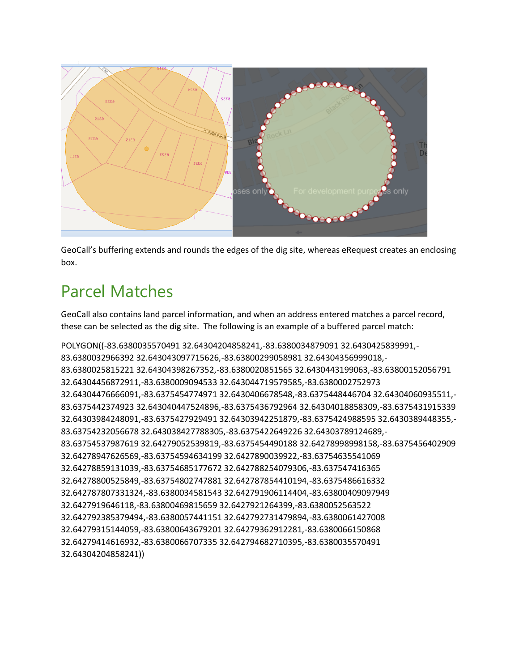

GeoCall's buffering extends and rounds the edges of the dig site, whereas eRequest creates an enclosing box.

### <span id="page-5-0"></span>Parcel Matches

GeoCall also contains land parcel information, and when an address entered matches a parcel record, these can be selected as the dig site. The following is an example of a buffered parcel match:

```
POLYGON((-83.6380035570491 32.64304204858241,-83.6380034879091 32.6430425839991,-
83.6380032966392 32.643043097715626,-83.63800299058981 32.64304356999018,-
83.6380025815221 32.64304398267352,-83.6380020851565 32.6430443199063,-83.63800152056791 
32.64304456872911,-83.6380009094533 32.643044719579585,-83.6380002752973 
32.64304476666091,-83.6375454774971 32.6430406678548,-83.6375448446704 32.64304060935511,-
83.6375442374923 32.643040447524896,-83.6375436792964 32.64304018858309,-83.6375431915339 
32.64303984248091,-83.6375427929491 32.64303942251879,-83.6375424988595 32.6430389448355,-
83.63754232056678 32.643038427788305,-83.6375422649226 32.64303789124689,-
83.63754537987619 32.64279052539819,-83.6375454490188 32.64278998998158,-83.6375456402909 
32.64278947626569,-83.63754594634199 32.6427890039922,-83.63754635541069 
32.64278859131039,-83.63754685177672 32.642788254079306,-83.637547416365 
32.64278800525849,-83.63754802747881 32.642787854410194,-83.6375486616332 
32.642787807331324,-83.6380034581543 32.642791906114404,-83.63800409097949 
32.6427919646118,-83.63800469815659 32.6427921264399,-83.6380052563522 
32.642792385379494,-83.6380057441151 32.642792731479894,-83.6380061427008 
32.64279315144059,-83.63800643679201 32.64279362912281,-83.6380066150868 
32.64279414616932,-83.6380066707335 32.642794682710395,-83.6380035570491 
32.64304204858241))
```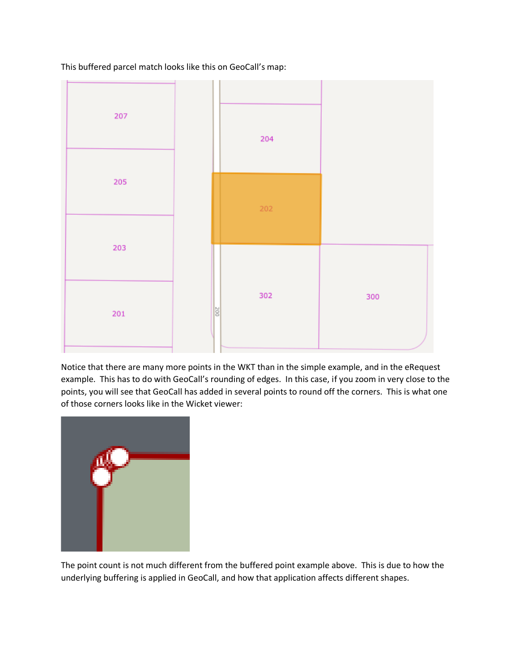This buffered parcel match looks like this on GeoCall's map:



Notice that there are many more points in the WKT than in the simple example, and in the eRequest example. This has to do with GeoCall's rounding of edges. In this case, if you zoom in very close to the points, you will see that GeoCall has added in several points to round off the corners. This is what one of those corners looks like in the Wicket viewer:



The point count is not much different from the buffered point example above. This is due to how the underlying buffering is applied in GeoCall, and how that application affects different shapes.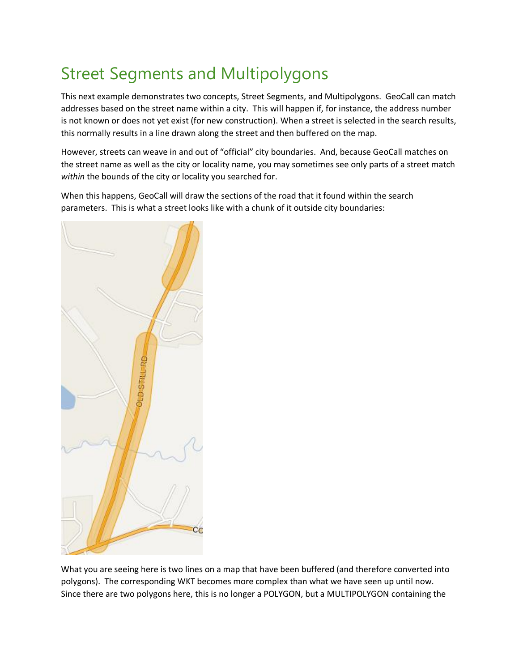### <span id="page-7-0"></span>Street Segments and Multipolygons

This next example demonstrates two concepts, Street Segments, and Multipolygons. GeoCall can match addresses based on the street name within a city. This will happen if, for instance, the address number is not known or does not yet exist (for new construction). When a street is selected in the search results, this normally results in a line drawn along the street and then buffered on the map.

However, streets can weave in and out of "official" city boundaries. And, because GeoCall matches on the street name as well as the city or locality name, you may sometimes see only parts of a street match *within* the bounds of the city or locality you searched for.

When this happens, GeoCall will draw the sections of the road that it found within the search parameters. This is what a street looks like with a chunk of it outside city boundaries:



What you are seeing here is two lines on a map that have been buffered (and therefore converted into polygons). The corresponding WKT becomes more complex than what we have seen up until now. Since there are two polygons here, this is no longer a POLYGON, but a MULTIPOLYGON containing the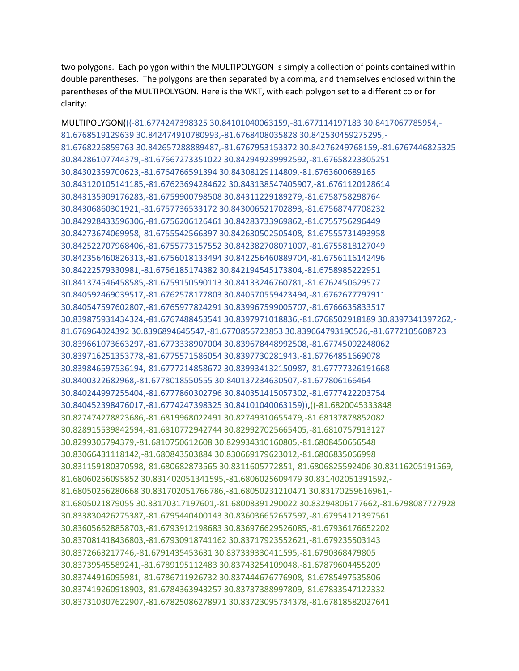two polygons. Each polygon within the MULTIPOLYGON is simply a collection of points contained within double parentheses. The polygons are then separated by a comma, and themselves enclosed within the parentheses of the MULTIPOLYGON. Here is the WKT, with each polygon set to a different color for clarity:

MULTIPOLYGON(((-81.6774247398325 30.84101040063159,-81.677114197183 30.8417067785954,- 81.6768519129639 30.842474910780993,-81.6768408035828 30.842530459275295,- 81.6768226859763 30.842657288889487,-81.6767953153372 30.84276249768159,-81.6767446825325 30.84286107744379,-81.67667273351022 30.842949239992592,-81.67658223305251 30.84302359700623,-81.6764766591394 30.84308129114809,-81.6763600689165 30.843120105141185,-81.67623694284622 30.843138547405907,-81.6761120128614 30.843135909176283,-81.6759900798508 30.84311229189279,-81.6758758298764 30.84306860301921,-81.6757736533172 30.843006521702893,-81.67568747708232 30.842928433596306,-81.6756206126461 30.84283733969862,-81.6755756296449 30.84273674069958,-81.6755542566397 30.842630502505408,-81.67555731493958 30.842522707968406,-81.6755773157552 30.842382708071007,-81.6755818127049 30.842356460826313,-81.6756018133494 30.842256460889704,-81.6756116142496 30.84222579330981,-81.6756185174382 30.842194545173804,-81.6758985222951 30.841374546458585,-81.6759150590113 30.84133246760781,-81.6762450629577 30.840592469039517,-81.6762578177803 30.840570559423494,-81.6762677797911 30.840547597602807,-81.6765977824291 30.839967599005707,-81.6766635833517 30.839875931434324,-81.6767488453541 30.8397971018836,-81.6768502918189 30.8397341397262,- 81.676964024392 30.8396894645547,-81.6770856723853 30.839664793190526,-81.6772105608723 30.839661073663297,-81.6773338907004 30.839678448992508,-81.67745092248062 30.839716251353778,-81.6775571586054 30.8397730281943,-81.67764851669078 30.839846597536194,-81.6777214858672 30.839934132150987,-81.67777326191668 30.8400322682968,-81.6778018550555 30.840137234630507,-81.677806166464 30.840244997255404,-81.6777860302796 30.840351415057302,-81.6777422203754 30.840452398476017,-81.6774247398325 30.84101040063159)),((-81.6820045333848 30.827474278823686,-81.6819968022491 30.82749310655479,-81.68137878852082 30.828915539842594,-81.6810772942744 30.829927025665405,-81.6810757913127 30.8299305794379,-81.6810750612608 30.829934310160805,-81.6808450656548 30.83066431118142,-81.680843503884 30.830669179623012,-81.6806835066998 30.831159180370598,-81.680682873565 30.8311605772851,-81.6806825592406 30.83116205191569,- 81.68060256095852 30.831402051341595,-81.6806025609479 30.831402051391592,- 81.68050256280668 30.831702051766786,-81.68050231210471 30.83170259616961,- 81.6805021879055 30.83170317197601,-81.68008391290022 30.83294806177662,-81.6798087727928 30.833830426275387,-81.6795440400143 30.836036652657597,-81.67954121397561 30.836056628858703,-81.6793912198683 30.836976629526085,-81.67936176652202 30.837081418436803,-81.67930918741162 30.83717923552621,-81.679235503143 30.8372663217746,-81.6791435453631 30.837339330411595,-81.6790368479805 30.83739545589241,-81.6789195112483 30.83743254109048,-81.67879604455209 30.83744916095981,-81.6786711926732 30.837444676776908,-81.6785497535806 30.837419260918903,-81.6784363943257 30.83737388997809,-81.67833547122332 30.837310307622907,-81.67825086278971 30.83723095734378,-81.67818582027641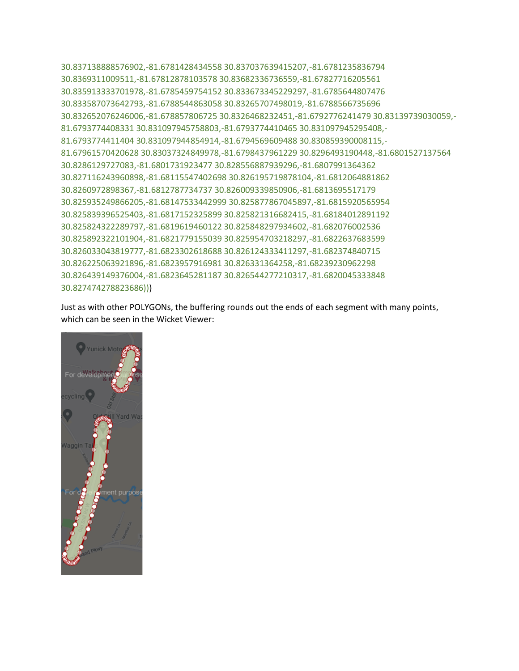30.837138888576902,-81.6781428434558 30.837037639415207,-81.6781235836794 30.8369311009511,-81.67812878103578 30.83682336736559,-81.67827716205561 30.835913333701978,-81.6785459754152 30.833673345229297,-81.6785644807476 30.833587073642793,-81.6788544863058 30.83265707498019,-81.6788566735696 30.832652076246006,-81.678857806725 30.8326468232451,-81.6792776241479 30.83139739030059,- 81.6793774408331 30.831097945758803,-81.6793774410465 30.831097945295408,- 81.6793774411404 30.831097944854914,-81.6794569609488 30.830859390008115,- 81.67961570420628 30.83037324849978,-81.6798437961229 30.8296493190448,-81.6801527137564 30.8286129727083,-81.6801731923477 30.828556887939296,-81.6807991364362 30.827116243960898,-81.68115547402698 30.826195719878104,-81.6812064881862 30.8260972898367,-81.6812787734737 30.826009339850906,-81.6813695517179 30.825935249866205,-81.68147533442999 30.825877867045897,-81.6815920565954 30.825839396525403,-81.6817152325899 30.825821316682415,-81.68184012891192 30.825824322289797,-81.6819619460122 30.825848297934602,-81.682076002536 30.825892322101904,-81.6821779155039 30.825954703218297,-81.6822637683599 30.826033043819777,-81.6823302618688 30.826124333411297,-81.682374840715 30.826225063921896,-81.6823957916981 30.826331364258,-81.68239230962298 30.826439149376004,-81.6823645281187 30.826544277210317,-81.6820045333848 30.827474278823686)))

Just as with other POLYGONs, the buffering rounds out the ends of each segment with many points, which can be seen in the Wicket Viewer: